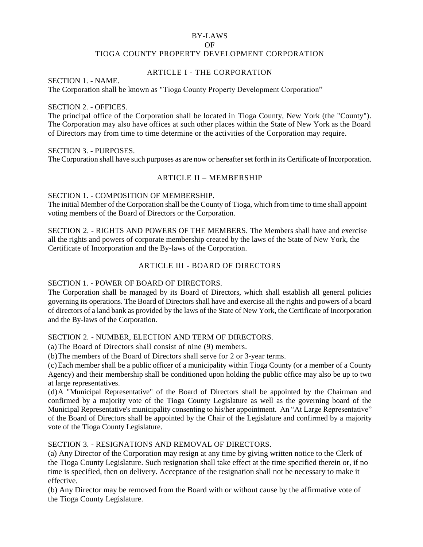# BY-LAWS

OF

# TIOGA COUNTY PROPERTY DEVELOPMENT CORPORATION

#### ARTICLE I - THE CORPORATION

SECTION 1. - NAME.

The Corporation shall be known as "Tioga County Property Development Corporation"

#### SECTION 2. - OFFICES.

The principal office of the Corporation shall be located in Tioga County, New York (the "County"). The Corporation may also have offices at such other places within the State of New York as the Board of Directors may from time to time determine or the activities of the Corporation may require.

#### SECTION 3. - PURPOSES.

The Corporation shall have such purposes as are now or hereafter set forth in its Certificate of Incorporation.

## ARTICLE II – MEMBERSHIP

#### SECTION 1. - COMPOSITION OF MEMBERSHIP.

The initial Member of the Corporation shall be the County of Tioga, which from time to time shall appoint voting members of the Board of Directors or the Corporation.

SECTION 2. - RIGHTS AND POWERS OF THE MEMBERS. The Members shall have and exercise all the rights and powers of corporate membership created by the laws of the State of New York, the Certificate of Incorporation and the By-laws of the Corporation.

# ARTICLE III - BOARD OF DIRECTORS

#### SECTION 1 - POWER OF BOARD OF DIRECTORS.

The Corporation shall be managed by its Board of Directors, which shall establish all general policies governing its operations. The Board of Directors shall have and exercise all the rights and powers of a board of directors of a land bank as provided by the laws of the State of New York, the Certificate of Incorporation and the By-laws of the Corporation.

#### SECTION 2. - NUMBER, ELECTION AND TERM OF DIRECTORS.

(a)The Board of Directors shall consist of nine (9) members.

(b)The members of the Board of Directors shall serve for 2 or 3-year terms.

(c)Each member shall be a public officer of a municipality within Tioga County (or a member of a County Agency) and their membership shall be conditioned upon holding the public office may also be up to two at large representatives.

(d)A "Municipal Representative" of the Board of Directors shall be appointed by the Chairman and confirmed by a majority vote of the Tioga County Legislature as well as the governing board of the Municipal Representative's municipality consenting to his/her appointment. An "At Large Representative" of the Board of Directors shall be appointed by the Chair of the Legislature and confirmed by a majority vote of the Tioga County Legislature.

# SECTION 3. - RESIGNATIONS AND REMOVAL OF DIRECTORS.

(a) Any Director of the Corporation may resign at any time by giving written notice to the Clerk of the Tioga County Legislature. Such resignation shall take effect at the time specified therein or, if no time is specified, then on delivery. Acceptance of the resignation shall not be necessary to make it effective.

(b) Any Director may be removed from the Board with or without cause by the affirmative vote of the Tioga County Legislature.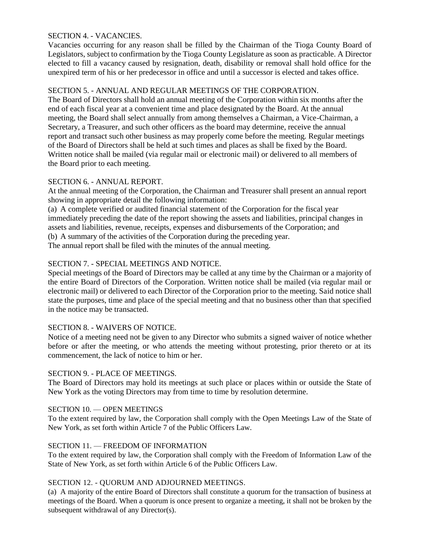# SECTION 4. - VACANCIES.

Vacancies occurring for any reason shall be filled by the Chairman of the Tioga County Board of Legislators, subject to confirmation by the Tioga County Legislature as soon as practicable. A Director elected to fill a vacancy caused by resignation, death, disability or removal shall hold office for the unexpired term of his or her predecessor in office and until a successor is elected and takes office.

#### SECTION 5. - ANNUAL AND REGULAR MEETINGS OF THE CORPORATION.

The Board of Directors shall hold an annual meeting of the Corporation within six months after the end of each fiscal year at a convenient time and place designated by the Board. At the annual meeting, the Board shall select annually from among themselves a Chairman, a Vice-Chairman, a Secretary, a Treasurer, and such other officers as the board may determine, receive the annual report and transact such other business as may properly come before the meeting. Regular meetings of the Board of Directors shall be held at such times and places as shall be fixed by the Board. Written notice shall be mailed (via regular mail or electronic mail) or delivered to all members of the Board prior to each meeting.

## SECTION 6. - ANNUAL REPORT.

At the annual meeting of the Corporation, the Chairman and Treasurer shall present an annual report showing in appropriate detail the following information:

(a) A complete verified or audited financial statement of the Corporation for the fiscal year immediately preceding the date of the report showing the assets and liabilities, principal changes in assets and liabilities, revenue, receipts, expenses and disbursements of the Corporation; and (b) A summary of the activities of the Corporation during the preceding year. The annual report shall be filed with the minutes of the annual meeting.

# SECTION 7. - SPECIAL MEETINGS AND NOTICE.

Special meetings of the Board of Directors may be called at any time by the Chairman or a majority of the entire Board of Directors of the Corporation. Written notice shall be mailed (via regular mail or electronic mail) or delivered to each Director of the Corporation prior to the meeting. Said notice shall state the purposes, time and place of the special meeting and that no business other than that specified in the notice may be transacted.

# SECTION 8. - WAIVERS OF NOTICE.

Notice of a meeting need not be given to any Director who submits a signed waiver of notice whether before or after the meeting, or who attends the meeting without protesting, prior thereto or at its commencement, the lack of notice to him or her.

# SECTION 9. - PLACE OF MEETINGS.

The Board of Directors may hold its meetings at such place or places within or outside the State of New York as the voting Directors may from time to time by resolution determine.

#### SECTION 10. — OPEN MEETINGS

To the extent required by law, the Corporation shall comply with the Open Meetings Law of the State of New York, as set forth within Article 7 of the Public Officers Law.

#### SECTION 11. — FREEDOM OF INFORMATION

To the extent required by law, the Corporation shall comply with the Freedom of Information Law of the State of New York, as set forth within Article 6 of the Public Officers Law.

#### SECTION 12. - QUORUM AND ADJOURNED MEETINGS.

(a) A majority of the entire Board of Directors shall constitute a quorum for the transaction of business at meetings of the Board. When a quorum is once present to organize a meeting, it shall not be broken by the subsequent withdrawal of any Director(s).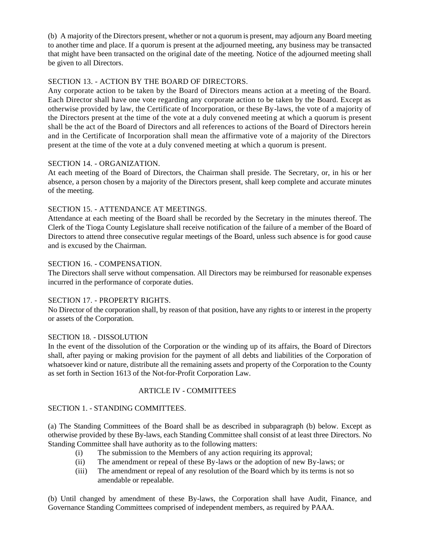(b) A majority of the Directors present, whether or not a quorum is present, may adjourn any Board meeting to another time and place. If a quorum is present at the adjourned meeting, any business may be transacted that might have been transacted on the original date of the meeting. Notice of the adjourned meeting shall be given to all Directors.

# SECTION 13. - ACTION BY THE BOARD OF DIRECTORS.

Any corporate action to be taken by the Board of Directors means action at a meeting of the Board. Each Director shall have one vote regarding any corporate action to be taken by the Board. Except as otherwise provided by law, the Certificate of Incorporation, or these By-laws, the vote of a majority of the Directors present at the time of the vote at a duly convened meeting at which a quorum is present shall be the act of the Board of Directors and all references to actions of the Board of Directors herein and in the Certificate of Incorporation shall mean the affirmative vote of a majority of the Directors present at the time of the vote at a duly convened meeting at which a quorum is present.

# SECTION 14. - ORGANIZATION.

At each meeting of the Board of Directors, the Chairman shall preside. The Secretary, or, in his or her absence, a person chosen by a majority of the Directors present, shall keep complete and accurate minutes of the meeting.

# SECTION 15. - ATTENDANCE AT MEETINGS.

Attendance at each meeting of the Board shall be recorded by the Secretary in the minutes thereof. The Clerk of the Tioga County Legislature shall receive notification of the failure of a member of the Board of Directors to attend three consecutive regular meetings of the Board, unless such absence is for good cause and is excused by the Chairman.

# SECTION 16. - COMPENSATION.

The Directors shall serve without compensation. All Directors may be reimbursed for reasonable expenses incurred in the performance of corporate duties.

# SECTION 17. - PROPERTY RIGHTS.

No Director of the corporation shall, by reason of that position, have any rights to or interest in the property or assets of the Corporation.

# SECTION 18. - DISSOLUTION

In the event of the dissolution of the Corporation or the winding up of its affairs, the Board of Directors shall, after paying or making provision for the payment of all debts and liabilities of the Corporation of whatsoever kind or nature, distribute all the remaining assets and property of the Corporation to the County as set forth in Section 1613 of the Not-for-Profit Corporation Law.

# ARTICLE IV - COMMITTEES

# SECTION 1. - STANDING COMMITTEES.

(a) The Standing Committees of the Board shall be as described in subparagraph (b) below. Except as otherwise provided by these By-laws, each Standing Committee shall consist of at least three Directors. No Standing Committee shall have authority as to the following matters:

- (i) The submission to the Members of any action requiring its approval;
- (ii) The amendment or repeal of these By-laws or the adoption of new By-laws; or
- (iii) The amendment or repeal of any resolution of the Board which by its terms is not so amendable or repealable.

(b) Until changed by amendment of these By-laws, the Corporation shall have Audit, Finance, and Governance Standing Committees comprised of independent members, as required by PAAA.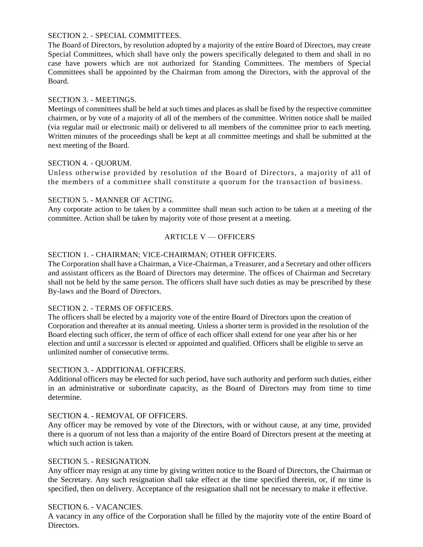# SECTION 2. - SPECIAL COMMITTEES.

The Board of Directors, by resolution adopted by a majority of the entire Board of Directors, may create Special Committees, which shall have only the powers specifically delegated to them and shall in no case have powers which are not authorized for Standing Committees. The members of Special Committees shall be appointed by the Chairman from among the Directors, with the approval of the Board.

## SECTION 3. - MEETINGS.

Meetings of committees shall be held at such times and places as shall be fixed by the respective committee chairmen, or by vote of a majority of all of the members of the committee. Written notice shall be mailed (via regular mail or electronic mail) or delivered to all members of the committee prior to each meeting. Written minutes of the proceedings shall be kept at all committee meetings and shall be submitted at the next meeting of the Board.

## SECTION 4. - QUORUM.

Unless otherwise provided by resolution of the Board of Directors, a majority of all of the members of a committee shall constitute a quorum for the transaction of business.

## SECTION 5. - MANNER OF ACTING.

Any corporate action to be taken by a committee shall mean such action to be taken at a meeting of the committee. Action shall be taken by majority vote of those present at a meeting.

## ARTICLE V — OFFICERS

# SECTION 1. - CHAIRMAN; VICE-CHAIRMAN; OTHER OFFICERS.

The Corporation shall have a Chairman, a Vice-Chairman, a Treasurer, and a Secretary and other officers and assistant officers as the Board of Directors may determine. The offices of Chairman and Secretary shall not be held by the same person. The officers shall have such duties as may be prescribed by these By-laws and the Board of Directors.

#### SECTION 2. - TERMS OF OFFICERS.

The officers shall be elected by a majority vote of the entire Board of Directors upon the creation of Corporation and thereafter at its annual meeting. Unless a shorter term is provided in the resolution of the Board electing such officer, the term of office of each officer shall extend for one year after his or her election and until a successor is elected or appointed and qualified. Officers shall be eligible to serve an unlimited number of consecutive terms.

# SECTION 3. - ADDITIONAL OFFICERS.

Additional officers may be elected for such period, have such authority and perform such duties, either in an administrative or subordinate capacity, as the Board of Directors may from time to time determine.

#### SECTION 4. - REMOVAL OF OFFICERS.

Any officer may be removed by vote of the Directors, with or without cause, at any time, provided there is a quorum of not less than a majority of the entire Board of Directors present at the meeting at which such action is taken.

#### SECTION 5. - RESIGNATION.

Any officer may resign at any time by giving written notice to the Board of Directors, the Chairman or the Secretary. Any such resignation shall take effect at the time specified therein, or, if no time is specified, then on delivery. Acceptance of the resignation shall not be necessary to make it effective.

## SECTION 6. - VACANCIES.

A vacancy in any office of the Corporation shall be filled by the majority vote of the entire Board of Directors.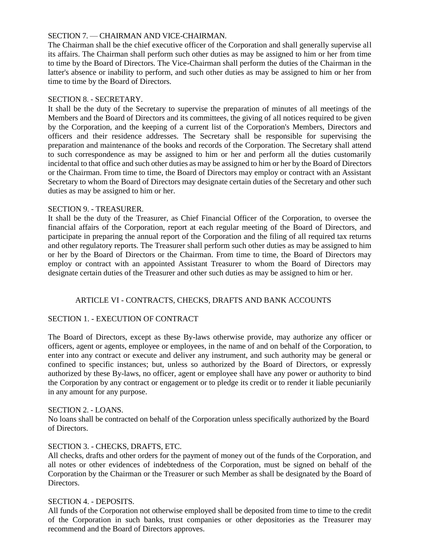# SECTION 7. — CHAIRMAN AND VICE-CHAIRMAN.

The Chairman shall be the chief executive officer of the Corporation and shall generally supervise all its affairs. The Chairman shall perform such other duties as may be assigned to him or her from time to time by the Board of Directors. The Vice-Chairman shall perform the duties of the Chairman in the latter's absence or inability to perform, and such other duties as may be assigned to him or her from time to time by the Board of Directors.

#### SECTION 8. - SECRETARY.

It shall be the duty of the Secretary to supervise the preparation of minutes of all meetings of the Members and the Board of Directors and its committees, the giving of all notices required to be given by the Corporation, and the keeping of a current list of the Corporation's Members, Directors and officers and their residence addresses. The Secretary shall be responsible for supervising the preparation and maintenance of the books and records of the Corporation. The Secretary shall attend to such correspondence as may be assigned to him or her and perform all the duties customarily incidental to that office and such other duties as may be assigned to him or her by the Board of Directors or the Chairman. From time to time, the Board of Directors may employ or contract with an Assistant Secretary to whom the Board of Directors may designate certain duties of the Secretary and other such duties as may be assigned to him or her.

#### SECTION 9. - TREASURER.

It shall be the duty of the Treasurer, as Chief Financial Officer of the Corporation, to oversee the financial affairs of the Corporation, report at each regular meeting of the Board of Directors, and participate in preparing the annual report of the Corporation and the filing of all required tax returns and other regulatory reports. The Treasurer shall perform such other duties as may be assigned to him or her by the Board of Directors or the Chairman. From time to time, the Board of Directors may employ or contract with an appointed Assistant Treasurer to whom the Board of Directors may designate certain duties of the Treasurer and other such duties as may be assigned to him or her.

# ARTICLE VI - CONTRACTS, CHECKS, DRAFTS AND BANK ACCOUNTS

# SECTION 1. - EXECUTION OF CONTRACT

The Board of Directors, except as these By-laws otherwise provide, may authorize any officer or officers, agent or agents, employee or employees, in the name of and on behalf of the Corporation, to enter into any contract or execute and deliver any instrument, and such authority may be general or confined to specific instances; but, unless so authorized by the Board of Directors, or expressly authorized by these By-laws, no officer, agent or employee shall have any power or authority to bind the Corporation by any contract or engagement or to pledge its credit or to render it liable pecuniarily in any amount for any purpose.

#### SECTION 2. - LOANS.

No loans shall be contracted on behalf of the Corporation unless specifically authorized by the Board of Directors.

#### SECTION 3. - CHECKS, DRAFTS, ETC.

All checks, drafts and other orders for the payment of money out of the funds of the Corporation, and all notes or other evidences of indebtedness of the Corporation, must be signed on behalf of the Corporation by the Chairman or the Treasurer or such Member as shall be designated by the Board of Directors.

#### SECTION 4. - DEPOSITS.

All funds of the Corporation not otherwise employed shall be deposited from time to time to the credit of the Corporation in such banks, trust companies or other depositories as the Treasurer may recommend and the Board of Directors approves.